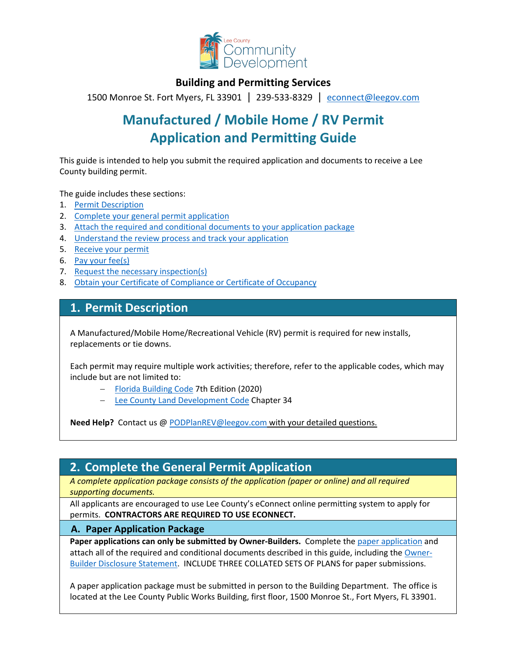

### **Building and Permitting Services**

1500 Monroe St. Fort Myers, FL 33901 | 239-533-8329 |[econnect@leegov.com](mailto:econnect@leegov.com)

# **Manufactured / Mobile Home / RV Permit Application and Permitting Guide**

This guide is intended to help you submit the required application and documents to receive a Lee County building permit.

The guide includes these sections:

- 1. [Permit Description](#page-0-0)
- 2. [Complete your general permit application](#page-0-1)
- 3. [Attach the required and conditional documents to your application package](#page-3-0)
- 4. [Understand the review process and track your application](#page-6-0)
- 5. [Receive your permit](#page-6-1)
- 6. [Pay your fee\(s\)](#page-7-0)
- 7. [Request the necessary inspection\(s\)](#page-7-1)
- 8. [Obtain your Certificate of Compliance or Certificate of Occupancy](#page-8-0)

### <span id="page-0-0"></span>**1. Permit Description**

A Manufactured/Mobile Home/Recreational Vehicle (RV) permit is required for new installs, replacements or tie downs.

Each permit may require multiple work activities; therefore, refer to the applicable codes, which may include but are not limited to:

- − [Florida Building Code](https://codes.iccsafe.org/codes/florida) 7th Edition (2020)
- − [Lee County Land Development Code](https://library.municode.com/fl/lee_county/codes/land_development_code?nodeId=LADECOLECOFL) Chapter 34

**Need Help?** Contact us @ [PODPlanREV@leegov.com](mailto:PODPlanREV@leegov.com) with your detailed questions.

## <span id="page-0-1"></span>**2. Complete the General Permit Application**

*A complete application package consists of the application (paper or online) and all required supporting documents.*

All applicants are encouraged to use Lee County's eConnect online permitting system to apply for permits. **CONTRACTORS ARE REQUIRED TO USE ECONNECT.**

#### **A. Paper Application Package**

**Paper applications can only be submitted by Owner-Builders.** Complete the [paper application](https://www.leegov.com/dcd/PermittingDocs/MHRVApplication.pdf) and attach all of the required and conditional documents described in this guide, including the [Owner-](https://www.leegov.com/dcd/PermittingDocs/OwnerBldrDisclosure.pdf)[Builder Disclosure Statement.](https://www.leegov.com/dcd/PermittingDocs/OwnerBldrDisclosure.pdf) INCLUDE THREE COLLATED SETS OF PLANS for paper submissions.

A paper application package must be submitted in person to the Building Department. The office is located at the Lee County Public Works Building, first floor, 1500 Monroe St., Fort Myers, FL 33901.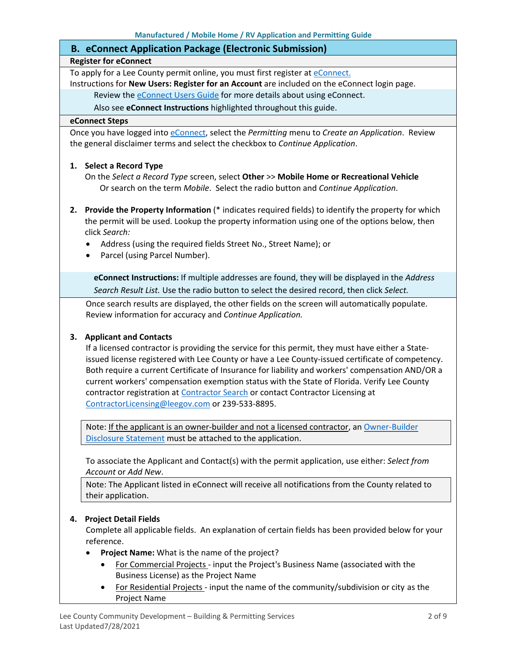### **B. eConnect Application Package (Electronic Submission)**

#### **Register for eConnect**

To apply for a Lee County permit online, you must first register at *eConnect*.

Instructions for **New Users: Register for an Account** are included on the eConnect login page.

Review the **eConnect Users Guide** for more details about using eConnect.

Also see **eConnect Instructions** highlighted throughout this guide.

#### **eConnect Steps**

Once you have logged into [eConnect,](https://accelaaca.leegov.com/aca/) select the *Permitting* menu to *Create an Application*. Review the general disclaimer terms and select the checkbox to *Continue Application*.

#### **1. Select a Record Type**

On the *Select a Record Type* screen, select **Other** >> **Mobile Home or Recreational Vehicle** Or search on the term *Mobile*. Select the radio button and *Continue Application*.

- **2. Provide the Property Information** (\* indicates required fields) to identify the property for which the permit will be used. Lookup the property information using one of the options below, then click *Search:*
	- Address (using the required fields Street No., Street Name); or
	- Parcel (using Parcel Number).

**eConnect Instructions:** If multiple addresses are found, they will be displayed in the *Address Search Result List.* Use the radio button to select the desired record, then click *Select.*

Once search results are displayed, the other fields on the screen will automatically populate. Review information for accuracy and *Continue Application.*

#### **3. Applicant and Contacts**

If a licensed contractor is providing the service for this permit, they must have either a Stateissued license registered with Lee County or have a Lee County-issued certificate of competency. Both require a current Certificate of Insurance for liability and workers' compensation AND/OR a current workers' compensation exemption status with the State of Florida. Verify Lee County contractor registration at [Contractor Search](https://www.leegov.com/dcd/ContLic/ActCont) or contact Contractor Licensing at [ContractorLicensing@leegov.com](mailto:ContractorLicensing@leegov.com) or 239-533-8895.

Note: If the applicant is an owner-builder and not a licensed contractor, a[n Owner-Builder](https://www.leegov.com/dcd/PermittingDocs/OwnerBldrDisclosure.pdf)  [Disclosure Statement](https://www.leegov.com/dcd/PermittingDocs/OwnerBldrDisclosure.pdf) must be attached to the application.

To associate the Applicant and Contact(s) with the permit application, use either: *Select from Account* or *Add New*.

Note: The Applicant listed in eConnect will receive all notifications from the County related to their application.

#### **4. Project Detail Fields**

Complete all applicable fields. An explanation of certain fields has been provided below for your reference.

- **Project Name:** What is the name of the project?
	- For Commercial Projects input the Project's Business Name (associated with the Business License) as the Project Name
	- For Residential Projects input the name of the community/subdivision or city as the Project Name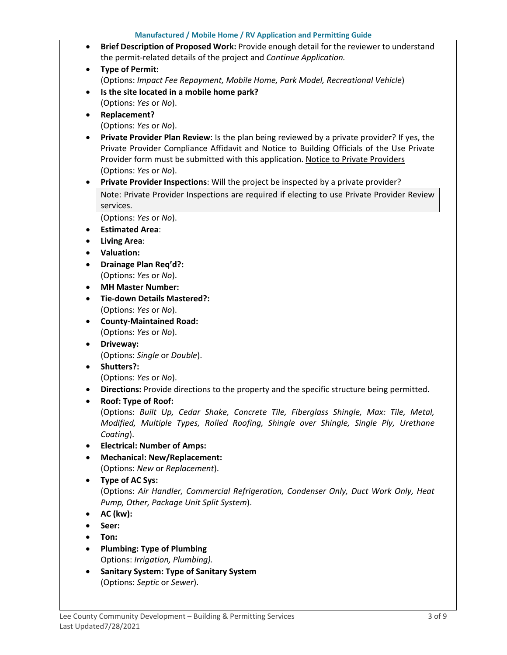- **Brief Description of Proposed Work:** Provide enough detail for the reviewer to understand the permit-related details of the project and *Continue Application.*
- **Type of Permit:**  (Options: *Impact Fee Repayment, Mobile Home, Park Model, Recreational Vehicle*)
- **Is the site located in a mobile home park?** (Options: *Yes* or *No*).
- **Replacement?**

(Options: *Yes* or *No*).

- **Private Provider Plan Review**: Is the plan being reviewed by a private provider? If yes, the Private Provider Compliance Affidavit and Notice to Building Officials of the Use Private Provider form must be submitted with this application. [Notice to Private Providers](https://www.floridabuilding.org/fbc/committees/Private_Providers/Private_Providers.htm) (Options: *Yes* or *No*).
- **Private Provider Inspections**: Will the project be inspected by a private provider?

Note: Private Provider Inspections are required if electing to use Private Provider Review services.

(Options: *Yes* or *No*).

- **Estimated Area**:
- **Living Area**:
- **Valuation:**
- **Drainage Plan Req'd?:** (Options: *Yes* or *No*).
- **MH Master Number:**
- **Tie-down Details Mastered?:** (Options: *Yes* or *No*).
- **County-Maintained Road:** (Options: *Yes* or *No*).
- **Driveway:** (Options: *Single* or *Double*).
- **Shutters?:**
	- (Options: *Yes* or *No*).
- **Directions:** Provide directions to the property and the specific structure being permitted.
- **Roof: Type of Roof:** (Options: *Built Up, Cedar Shake, Concrete Tile, Fiberglass Shingle, Max: Tile, Metal, Modified, Multiple Types, Rolled Roofing, Shingle over Shingle, Single Ply, Urethane*
- *Coating*). • **Electrical: Number of Amps:**
- **Mechanical: New/Replacement:**

(Options: *New* or *Replacement*).

- **Type of AC Sys:** (Options: *Air Handler, Commercial Refrigeration, Condenser Only, Duct Work Only, Heat Pump, Other, Package Unit Split System*).
- **AC (kw):**
- **Seer:**
- **Ton:**
- **Plumbing: Type of Plumbing** Options: *Irrigation, Plumbing).*
- **Sanitary System: Type of Sanitary System** (Options: *Septic* or *Sewer*).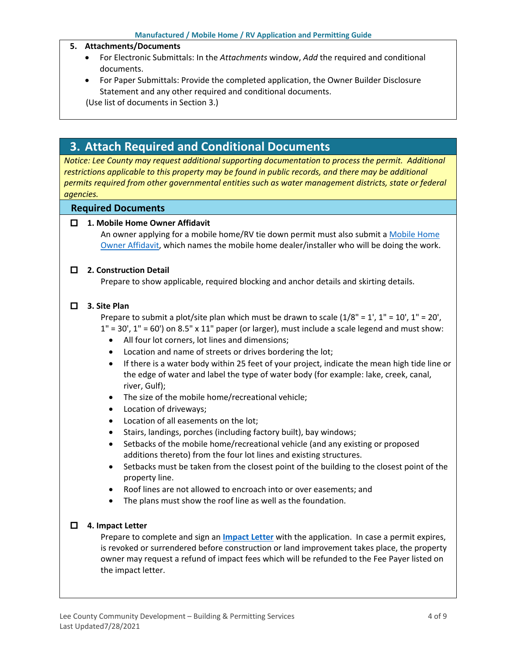#### **5. Attachments/Documents**

- For Electronic Submittals: In the *Attachments* window, *Add* the required and conditional documents.
- For Paper Submittals: Provide the completed application, the Owner Builder Disclosure Statement and any other required and conditional documents.

(Use list of documents in Section 3.)

# <span id="page-3-0"></span>**3. Attach Required and Conditional Documents**

*Notice: Lee County may request additional supporting documentation to process the permit. Additional*  restrictions applicable to this property may be found in public records, and there may be additional *permits required from other governmental entities such as water management districts, state or federal agencies.*

#### **Required Documents**

#### **1. Mobile Home Owner Affidavit**

An owner applying for a mobile home/RV tie down permit must also submit a [Mobile Home](https://www.leegov.com/dcd/PermittingDocs/MobileHomeOwnerAffidavit.pdf)  [Owner Affidavit,](https://www.leegov.com/dcd/PermittingDocs/MobileHomeOwnerAffidavit.pdf) which names the mobile home dealer/installer who will be doing the work.

#### **2. Construction Detail**

Prepare to show applicable, required blocking and anchor details and skirting details.

#### **3. Site Plan**

Prepare to submit a plot/site plan which must be drawn to scale  $(1/8" = 1', 1" = 10', 1" = 20',$  $1" = 30'$ ,  $1" = 60'$ ) on 8.5" x 11" paper (or larger), must include a scale legend and must show:

- All four lot corners, lot lines and dimensions;
- Location and name of streets or drives bordering the lot;
- If there is a water body within 25 feet of your project, indicate the mean high tide line or the edge of water and label the type of water body (for example: lake, creek, canal, river, Gulf);
- The size of the mobile home/recreational vehicle;
- Location of driveways;
- Location of all easements on the lot;
- Stairs, landings, porches (including factory built), bay windows;
- Setbacks of the mobile home/recreational vehicle (and any existing or proposed additions thereto) from the four lot lines and existing structures.
- Setbacks must be taken from the closest point of the building to the closest point of the property line.
- Roof lines are not allowed to encroach into or over easements; and
- The plans must show the roof line as well as the foundation.

#### **4. Impact Letter**

Prepare to complete and sign an **[Impact Letter](https://www.leegov.com/dcd/PermittingDocs/ImpactLetter.pdf)** with the application. In case a permit expires, is revoked or surrendered before construction or land improvement takes place, the property owner may request a refund of impact fees which will be refunded to the Fee Payer listed on the impact letter.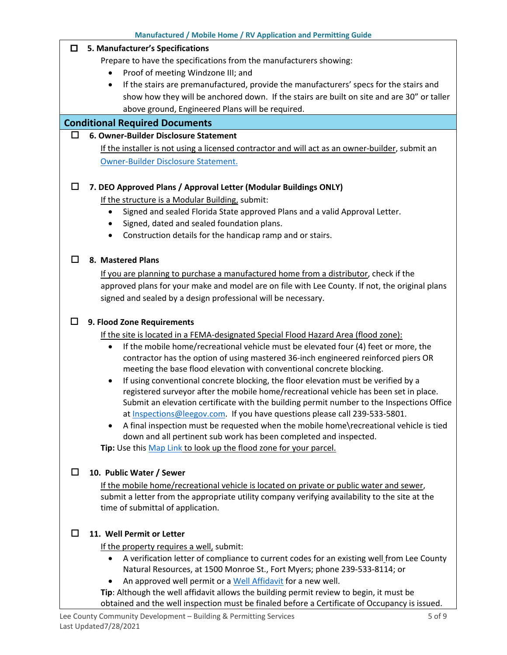|        | Manufactured / Mobile Home / RV Application and Permitting Guide                                                                                                                                                                                                                                                                                                                                                                  |
|--------|-----------------------------------------------------------------------------------------------------------------------------------------------------------------------------------------------------------------------------------------------------------------------------------------------------------------------------------------------------------------------------------------------------------------------------------|
| □      | 5. Manufacturer's Specifications                                                                                                                                                                                                                                                                                                                                                                                                  |
|        | Prepare to have the specifications from the manufacturers showing:                                                                                                                                                                                                                                                                                                                                                                |
|        | Proof of meeting Windzone III; and<br>$\bullet$                                                                                                                                                                                                                                                                                                                                                                                   |
|        | If the stairs are premanufactured, provide the manufacturers' specs for the stairs and<br>٠                                                                                                                                                                                                                                                                                                                                       |
|        | show how they will be anchored down. If the stairs are built on site and are 30" or taller                                                                                                                                                                                                                                                                                                                                        |
|        | above ground, Engineered Plans will be required.                                                                                                                                                                                                                                                                                                                                                                                  |
|        | <b>Conditional Required Documents</b>                                                                                                                                                                                                                                                                                                                                                                                             |
| □      | 6. Owner-Builder Disclosure Statement                                                                                                                                                                                                                                                                                                                                                                                             |
|        | If the installer is not using a licensed contractor and will act as an owner-builder, submit an                                                                                                                                                                                                                                                                                                                                   |
|        | Owner-Builder Disclosure Statement.                                                                                                                                                                                                                                                                                                                                                                                               |
|        |                                                                                                                                                                                                                                                                                                                                                                                                                                   |
| $\Box$ | 7. DEO Approved Plans / Approval Letter (Modular Buildings ONLY)                                                                                                                                                                                                                                                                                                                                                                  |
|        | If the structure is a Modular Building, submit:                                                                                                                                                                                                                                                                                                                                                                                   |
|        | Signed and sealed Florida State approved Plans and a valid Approval Letter.<br>$\bullet$                                                                                                                                                                                                                                                                                                                                          |
|        | Signed, dated and sealed foundation plans.                                                                                                                                                                                                                                                                                                                                                                                        |
|        | Construction details for the handicap ramp and or stairs.                                                                                                                                                                                                                                                                                                                                                                         |
|        |                                                                                                                                                                                                                                                                                                                                                                                                                                   |
| ⊔      | 8. Mastered Plans                                                                                                                                                                                                                                                                                                                                                                                                                 |
|        | If you are planning to purchase a manufactured home from a distributor, check if the                                                                                                                                                                                                                                                                                                                                              |
|        | approved plans for your make and model are on file with Lee County. If not, the original plans                                                                                                                                                                                                                                                                                                                                    |
|        | signed and sealed by a design professional will be necessary.                                                                                                                                                                                                                                                                                                                                                                     |
|        |                                                                                                                                                                                                                                                                                                                                                                                                                                   |
| □      | 9. Flood Zone Requirements                                                                                                                                                                                                                                                                                                                                                                                                        |
|        | If the site is located in a FEMA-designated Special Flood Hazard Area (flood zone):                                                                                                                                                                                                                                                                                                                                               |
|        | If the mobile home/recreational vehicle must be elevated four (4) feet or more, the<br>$\bullet$                                                                                                                                                                                                                                                                                                                                  |
|        | contractor has the option of using mastered 36-inch engineered reinforced piers OR                                                                                                                                                                                                                                                                                                                                                |
|        | meeting the base flood elevation with conventional concrete blocking.                                                                                                                                                                                                                                                                                                                                                             |
|        | If using conventional concrete blocking, the floor elevation must be verified by a<br>$\bullet$                                                                                                                                                                                                                                                                                                                                   |
|        | registered surveyor after the mobile home/recreational vehicle has been set in place.                                                                                                                                                                                                                                                                                                                                             |
|        | Submit an elevation certificate with the building permit number to the Inspections Office<br>at Inspections@leegov.com. If you have questions please call 239-533-5801.                                                                                                                                                                                                                                                           |
|        | A final inspection must be requested when the mobile home\recreational vehicle is tied<br>$\bullet$                                                                                                                                                                                                                                                                                                                               |
|        | down and all pertinent sub work has been completed and inspected.                                                                                                                                                                                                                                                                                                                                                                 |
|        | Tip: Use this Map Link to look up the flood zone for your parcel.                                                                                                                                                                                                                                                                                                                                                                 |
|        |                                                                                                                                                                                                                                                                                                                                                                                                                                   |
| □      | 10. Public Water / Sewer                                                                                                                                                                                                                                                                                                                                                                                                          |
|        | If the mobile home/recreational vehicle is located on private or public water and sewer,                                                                                                                                                                                                                                                                                                                                          |
|        | submit a letter from the appropriate utility company verifying availability to the site at the                                                                                                                                                                                                                                                                                                                                    |
|        | time of submittal of application.                                                                                                                                                                                                                                                                                                                                                                                                 |
|        |                                                                                                                                                                                                                                                                                                                                                                                                                                   |
| □      | 11. Well Permit or Letter                                                                                                                                                                                                                                                                                                                                                                                                         |
|        | If the property requires a well, submit:                                                                                                                                                                                                                                                                                                                                                                                          |
|        | $\bullet$                                                                                                                                                                                                                                                                                                                                                                                                                         |
|        |                                                                                                                                                                                                                                                                                                                                                                                                                                   |
|        |                                                                                                                                                                                                                                                                                                                                                                                                                                   |
|        |                                                                                                                                                                                                                                                                                                                                                                                                                                   |
|        | A verification letter of compliance to current codes for an existing well from Lee County<br>Natural Resources, at 1500 Monroe St., Fort Myers; phone 239-533-8114; or<br>An approved well permit or a Well Affidavit for a new well.<br>Tip: Although the well affidavit allows the building permit review to begin, it must be<br>obtained and the well inspection must be finaled before a Certificate of Occupancy is issued. |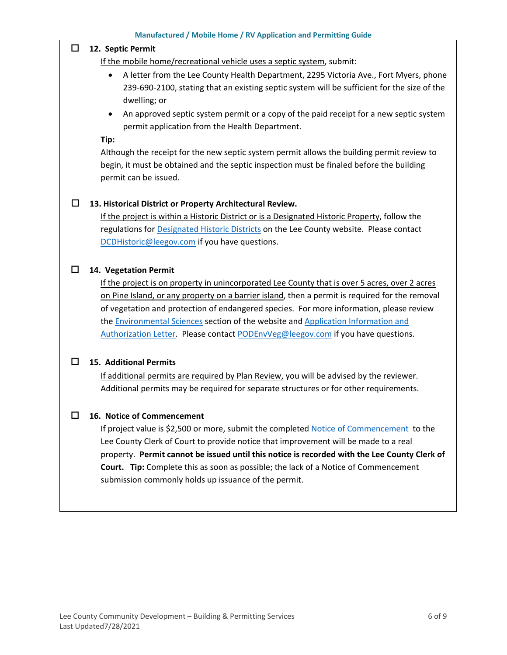#### **12. Septic Permit**

If the mobile home/recreational vehicle uses a septic system, submit:

- A letter from the Lee County Health Department, 2295 Victoria Ave., Fort Myers, phone 239-690-2100, stating that an existing septic system will be sufficient for the size of the dwelling; or
- An approved septic system permit or a copy of the paid receipt for a new septic system permit application from the Health Department.

**Tip:**

Although the receipt for the new septic system permit allows the building permit review to begin, it must be obtained and the septic inspection must be finaled before the building permit can be issued.

### **13. Historical District or Property Architectural Review.**

If the project is within a Historic District or is a Designated Historic Property, follow the regulations for [Designated Historic Districts](https://www.leegov.com/dcd/planning/hp/histdistricts) on the Lee County website. Please contact [DCDHistoric@leegov.com](mailto:DCDHistoric@leegov.com) if you have questions.

#### **14. Vegetation Permit**

If the project is on property in unincorporated Lee County that is over 5 acres, over 2 acres on Pine Island, or any property on a barrier island, then a permit is required for the removal of vegetation and protection of endangered species. For more information, please review the [Environmental Sciences](https://www.leegov.com/dcd/es) section of the website and [Application Information and](https://www.leegov.com/dcd/es/apps)  [Authorization Letter.](https://www.leegov.com/dcd/es/apps) Please contact [PODEnvVeg@leegov.com](mailto:PODEnvVeg@leegov.com) if you have questions.

#### **15. Additional Permits**

If additional permits are required by Plan Review, you will be advised by the reviewer. Additional permits may be required for separate structures or for other requirements.

#### **16. Notice of Commencement**

If project value is \$2,500 or more, submit the completed [Notice of Commencement](https://www.leegov.com/dcd/PermittingDocs/NoticeofCommencement.pdf) to the Lee County Clerk of Court to provide notice that improvement will be made to a real property. **Permit cannot be issued until this notice is recorded with the Lee County Clerk of Court. Tip:** Complete this as soon as possible; the lack of a Notice of Commencement submission commonly holds up issuance of the permit.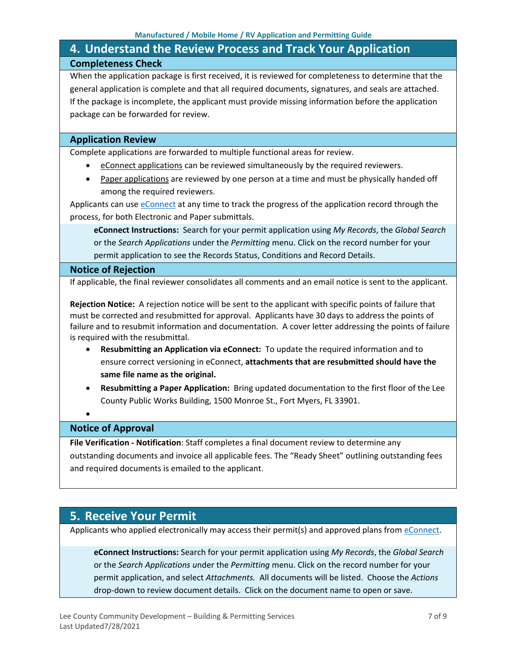# <span id="page-6-0"></span>**4. Understand the Review Process and Track Your Application Completeness Check**

When the application package is first received, it is reviewed for completeness to determine that the general application is complete and that all required documents, signatures, and seals are attached. If the package is incomplete, the applicant must provide missing information before the application package can be forwarded for review.

### **Application Review**

Complete applications are forwarded to multiple functional areas for review.

- eConnect applications can be reviewed simultaneously by the required reviewers.
- Paper applications are reviewed by one person at a time and must be physically handed off among the required reviewers.

Applicants can use [eConnect](https://accelaaca.leegov.com/aca/) at any time to track the progress of the application record through the process, for both Electronic and Paper submittals.

**eConnect Instructions:** Search for your permit application using *My Records*, the *Global Search* or the *Search Applications* under the *Permitting* menu. Click on the record number for your permit application to see the Records Status, Conditions and Record Details.

#### **Notice of Rejection**

If applicable, the final reviewer consolidates all comments and an email notice is sent to the applicant.

**Rejection Notice:** A rejection notice will be sent to the applicant with specific points of failure that must be corrected and resubmitted for approval. Applicants have 30 days to address the points of failure and to resubmit information and documentation. A cover letter addressing the points of failure is required with the resubmittal.

- **Resubmitting an Application via eConnect:** To update the required information and to ensure correct versioning in eConnect, **attachments that are resubmitted should have the same file name as the original.**
- **Resubmitting a Paper Application:** Bring updated documentation to the first floor of the Lee County Public Works Building, 1500 Monroe St., Fort Myers, FL 33901.

### •

### **Notice of Approval**

**File Verification - Notification**: Staff completes a final document review to determine any outstanding documents and invoice all applicable fees. The "Ready Sheet" outlining outstanding fees and required documents is emailed to the applicant.

### <span id="page-6-1"></span>**5. Receive Your Permit**

Applicants who applied electronically may access their permit(s) and approved plans from [eConnect.](https://accelaaca.leegov.com/aca/)

**eConnect Instructions:** Search for your permit application using *My Records*, the *Global Search* or the *Search Applications u*nder the *Permitting* menu. Click on the record number for your permit application, and select *Attachments.* All documents will be listed. Choose the *Actions*  drop-down to review document details. Click on the document name to open or save.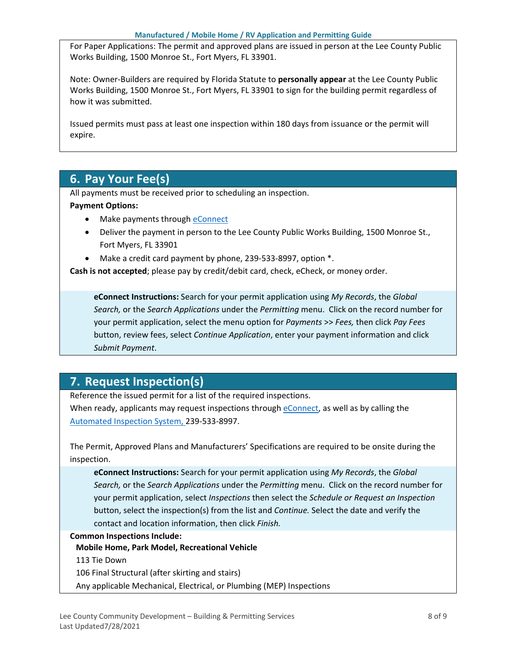For Paper Applications: The permit and approved plans are issued in person at the Lee County Public Works Building, 1500 Monroe St., Fort Myers, FL 33901.

Note: Owner-Builders are required by Florida Statute to **personally appear** at the Lee County Public Works Building, 1500 Monroe St., Fort Myers, FL 33901 to sign for the building permit regardless of how it was submitted.

Issued permits must pass at least one inspection within 180 days from issuance or the permit will expire.

# <span id="page-7-0"></span>**6. Pay Your Fee(s)**

All payments must be received prior to scheduling an inspection.

#### **Payment Options:**

- Make payments through [eConnect](https://accelaaca.leegov.com/aca/)
- Deliver the payment in person to the Lee County Public Works Building, 1500 Monroe St., Fort Myers, FL 33901
- Make a credit card payment by phone, 239-533-8997, option \*.

**Cash is not accepted**; please pay by credit/debit card, check, eCheck, or money order.

**eConnect Instructions:** Search for your permit application using *My Records*, the *Global Search,* or the *Search Applications* under the *Permitting* menu. Click on the record number for your permit application, select the menu option for *Payments* >> *Fees,* then click *Pay Fees* button, review fees, select *Continue Application*, enter your payment information and click *Submit Payment*.

# <span id="page-7-1"></span>**7. Request Inspection(s)**

Reference the issued permit for a list of the required inspections.

When ready, applicants may request inspections through [eConnect,](https://accelaaca.leegov.com/aca/) as well as by calling the [Automated Inspection System,](https://www.leegov.com/dcd/BldPermitServ/Insp/AutoInsp) 239-533-8997.

The Permit, Approved Plans and Manufacturers' Specifications are required to be onsite during the inspection.

**eConnect Instructions:** Search for your permit application using *My Records*, the *Global Search,* or the *Search Applications* under the *Permitting* menu. Click on the record number for your permit application, select *Inspections* then select the *Schedule or Request an Inspection* button, select the inspection(s) from the list and *Continue.* Select the date and verify the contact and location information, then click *Finish.*

#### **Common Inspections Include:**

**Mobile Home, Park Model, Recreational Vehicle**

113 Tie Down

106 Final Structural (after skirting and stairs)

Any applicable Mechanical, Electrical, or Plumbing (MEP) Inspections